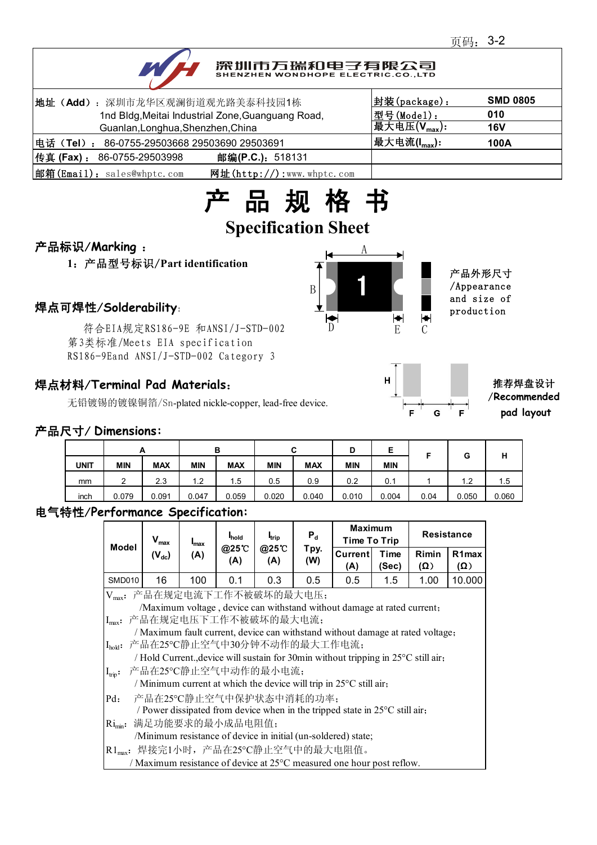

# 深圳市万瑞和电子有限公司

| 地址 (Add): 深圳市龙华区观澜街道观光路美泰科技园1栋                              | 封装(package):                | <b>SMD 0805</b> |
|-------------------------------------------------------------|-----------------------------|-----------------|
| 1nd Bldg, Meitai Industrial Zone, Guanguang Road,           | 型号(Model):                  | 010             |
| Guanlan, Longhua, Shenzhen, China                           | 最大电压 $(\mathsf{V_{max}})$ : | <b>16V</b>      |
| 电话(Tel): 86-0755-29503668 29503690 29503691                 | 最大电流(I <sub>max</sub> ):    | 100A            |
| 传真 (Fax) : 86-0755-29503998<br>邮编(P.C.): 518131             |                             |                 |
| 邮箱(Email): sales@whptc.com<br>网址( $http://$ ):www.whptc.com |                             |                 |



# 产品标识/**Marking** :

**1**:产品型号标识/**Part identification**

符合EIA规定RS186-9E 和ANSI/J-STD-002 第3类标准/Meets EIA specification RS186-9Eand ANSI/J-STD-002 Category 3

## 焊点材料/**Terminal Pad Materials**:

无铅镀锡的镀镍铜箔/Sn-plated nickle-copper, lead-free device.





推荐焊盘设计 /**Recommended pad layout**

#### 产品尺寸/ **Dimensions:**

|             |            | <u>_</u>   |                                | в          | u          | $\sim$     | D          | F<br>▃     |      | G     | ш     |
|-------------|------------|------------|--------------------------------|------------|------------|------------|------------|------------|------|-------|-------|
| <b>UNIT</b> | <b>MIN</b> | <b>MAX</b> | <b>MIN</b>                     | <b>MAX</b> | <b>MIN</b> | <b>MAX</b> | <b>MIN</b> | <b>MIN</b> |      |       | п     |
| mm          | ◠          | 2.3        | ົາ<br>$\overline{\phantom{a}}$ | 1.5        | 0.5        | 0.9        | 0.2        | 0.1        |      | 1.2   | l.5   |
| inch        | 0.079      | 0.091      | 0.047                          | 0.059      | 0.020      | 0.040      | 0.010      | 0.004      | 0.04 | 0.050 | 0.060 |

### 电气特性/**Performance Specification:**

|                                                                         | $V_{max}$                                                                             | $I_{\text{max}}$ | <b>I</b> hold<br>@25°C<br>(A) | <b>I</b> trip<br>@25°C<br>(A) | $P_d$<br>Tpy.<br>(W) | <b>Maximum</b><br>Time To Trip |               | <b>Resistance</b>      |                                  |  |
|-------------------------------------------------------------------------|---------------------------------------------------------------------------------------|------------------|-------------------------------|-------------------------------|----------------------|--------------------------------|---------------|------------------------|----------------------------------|--|
| <b>Model</b>                                                            | $(\mathsf{V}_{\mathsf{dc}})$                                                          | (A)              |                               |                               |                      | Current<br>(A)                 | Time<br>(Sec) | Rimin<br>$\mathcal{O}$ | R <sub>1</sub> max<br>$(\Omega)$ |  |
| <b>SMD010</b>                                                           | 16                                                                                    | 100              | 0.1                           | 0.3                           | 0.5                  | 0.5                            | 1.5           | 1.00                   | 10.000                           |  |
| 产品在规定电流下工作不被破坏的最大电压;<br>$V_{max}$ :                                     |                                                                                       |                  |                               |                               |                      |                                |               |                        |                                  |  |
| /Maximum voltage, device can withstand without damage at rated current; |                                                                                       |                  |                               |                               |                      |                                |               |                        |                                  |  |
|                                                                         | Imax: 产品在规定电压下工作不被破坏的最大电流;                                                            |                  |                               |                               |                      |                                |               |                        |                                  |  |
|                                                                         | / Maximum fault current, device can withstand without damage at rated voltage;        |                  |                               |                               |                      |                                |               |                        |                                  |  |
|                                                                         | [I <sub>hold</sub> : 产品在25℃静止空气中30分钟不动作的最大工作电流;                                       |                  |                               |                               |                      |                                |               |                        |                                  |  |
|                                                                         | / Hold Current., device will sustain for 30min without tripping in 25°C still air,    |                  |                               |                               |                      |                                |               |                        |                                  |  |
| $I_{\text{trip}}$ :                                                     | 产品在25℃静止空气中动作的最小电流;                                                                   |                  |                               |                               |                      |                                |               |                        |                                  |  |
|                                                                         | / Minimum current at which the device will trip in $25^{\circ}$ C still air,          |                  |                               |                               |                      |                                |               |                        |                                  |  |
| $Pd$ :                                                                  | 产品在25°C静止空气中保护状态中消耗的功率;                                                               |                  |                               |                               |                      |                                |               |                        |                                  |  |
|                                                                         | / Power dissipated from device when in the tripped state in $25^{\circ}$ C still air, |                  |                               |                               |                      |                                |               |                        |                                  |  |
| $Ri_{min}$ :                                                            | 满足功能要求的最小成品电阻值;                                                                       |                  |                               |                               |                      |                                |               |                        |                                  |  |
|                                                                         | /Minimum resistance of device in initial (un-soldered) state;                         |                  |                               |                               |                      |                                |               |                        |                                  |  |
|                                                                         | R1 <sub>max</sub> : 焊接完1小时, 产品在25℃静止空气中的最大电阻值。                                        |                  |                               |                               |                      |                                |               |                        |                                  |  |
|                                                                         | / Maximum resistance of device at 25 <sup>o</sup> C measured one hour post reflow.    |                  |                               |                               |                      |                                |               |                        |                                  |  |